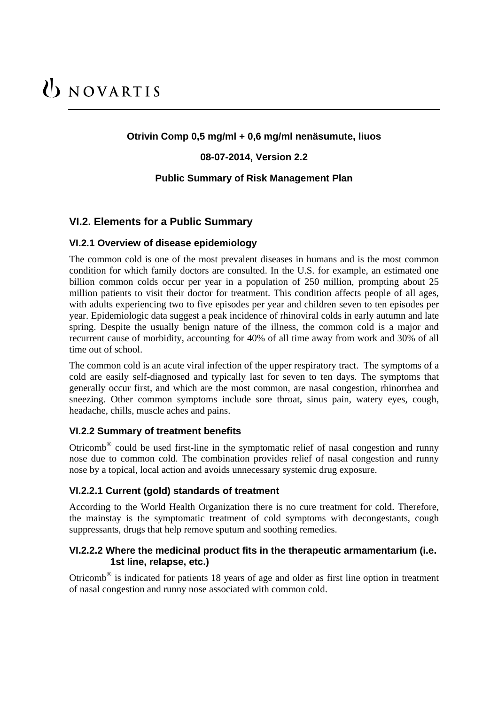# UNOVARTIS

## **Otrivin Comp 0,5 mg/ml + 0,6 mg/ml nenäsumute, liuos**

#### **08-07-2014, Version 2.2**

### **Public Summary of Risk Management Plan**

# **VI.2. Elements for a Public Summary**

### **VI.2.1 Overview of disease epidemiology**

The common cold is one of the most prevalent diseases in humans and is the most common condition for which family doctors are consulted. In the U.S. for example, an estimated one billion common colds occur per year in a population of 250 million, prompting about 25 million patients to visit their doctor for treatment. This condition affects people of all ages, with adults experiencing two to five episodes per year and children seven to ten episodes per year. Epidemiologic data suggest a peak incidence of rhinoviral colds in early autumn and late spring. Despite the usually benign nature of the illness, the common cold is a major and recurrent cause of morbidity, accounting for 40% of all time away from work and 30% of all time out of school.

The common cold is an acute viral infection of the upper respiratory tract. The symptoms of a cold are easily self-diagnosed and typically last for seven to ten days. The symptoms that generally occur first, and which are the most common, are nasal congestion, rhinorrhea and sneezing. Other common symptoms include sore throat, sinus pain, watery eyes, cough, headache, chills, muscle aches and pains.

#### **VI.2.2 Summary of treatment benefits**

Otricomb® could be used first-line in the symptomatic relief of nasal congestion and runny nose due to common cold. The combination provides relief of nasal congestion and runny nose by a topical, local action and avoids unnecessary systemic drug exposure.

## **VI.2.2.1 Current (gold) standards of treatment**

According to the World Health Organization there is no cure treatment for cold. Therefore, the mainstay is the symptomatic treatment of cold symptoms with decongestants, cough suppressants, drugs that help remove sputum and soothing remedies.

### **VI.2.2.2 Where the medicinal product fits in the therapeutic armamentarium (i.e. 1st line, relapse, etc.)**

Otricomb<sup>®</sup> is indicated for patients 18 years of age and older as first line option in treatment of nasal congestion and runny nose associated with common cold.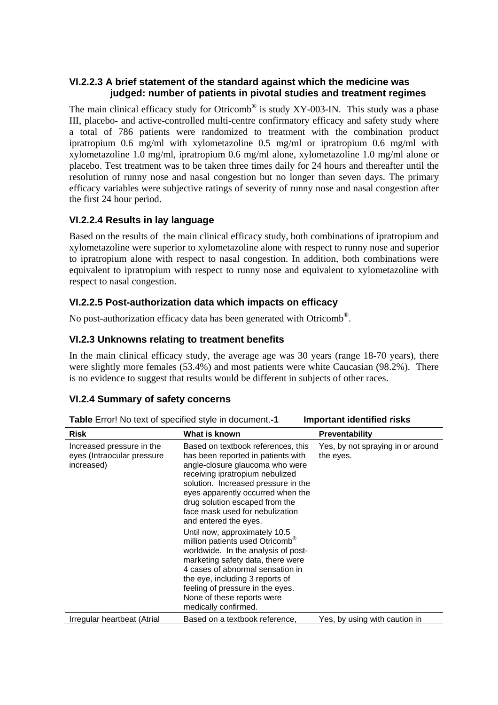## **VI.2.2.3 A brief statement of the standard against which the medicine was judged: number of patients in pivotal studies and treatment regimes**

The main clinical efficacy study for Otricomb<sup>®</sup> is study XY-003-IN. This study was a phase III, placebo- and active-controlled multi-centre confirmatory efficacy and safety study where a total of 786 patients were randomized to treatment with the combination product ipratropium 0.6 mg/ml with xylometazoline 0.5 mg/ml or ipratropium 0.6 mg/ml with xylometazoline 1.0 mg/ml, ipratropium 0.6 mg/ml alone, xylometazoline 1.0 mg/ml alone or placebo. Test treatment was to be taken three times daily for 24 hours and thereafter until the resolution of runny nose and nasal congestion but no longer than seven days. The primary efficacy variables were subjective ratings of severity of runny nose and nasal congestion after the first 24 hour period.

## **VI.2.2.4 Results in lay language**

Based on the results of the main clinical efficacy study, both combinations of ipratropium and xylometazoline were superior to xylometazoline alone with respect to runny nose and superior to ipratropium alone with respect to nasal congestion. In addition, both combinations were equivalent to ipratropium with respect to runny nose and equivalent to xylometazoline with respect to nasal congestion.

## **VI.2.2.5 Post-authorization data which impacts on efficacy**

No post-authorization efficacy data has been generated with Otricomb®.

## **VI.2.3 Unknowns relating to treatment benefits**

In the main clinical efficacy study, the average age was 30 years (range 18-70 years), there were slightly more females (53.4%) and most patients were white Caucasian (98.2%). There is no evidence to suggest that results would be different in subjects of other races.

# **VI.2.4 Summary of safety concerns**

**Table Error! No text of specified style in document.-1** 

| <b>Important identified risks</b> |  |
|-----------------------------------|--|
|                                   |  |

| <b>Risk</b>                                                           | What is known                                                                                                                                                                                                                                                                                                                                                                                                                                                                                                                                                                                                                                         | <b>Preventability</b>                          |
|-----------------------------------------------------------------------|-------------------------------------------------------------------------------------------------------------------------------------------------------------------------------------------------------------------------------------------------------------------------------------------------------------------------------------------------------------------------------------------------------------------------------------------------------------------------------------------------------------------------------------------------------------------------------------------------------------------------------------------------------|------------------------------------------------|
| Increased pressure in the<br>eyes (Intraocular pressure<br>increased) | Based on textbook references, this<br>has been reported in patients with<br>angle-closure glaucoma who were<br>receiving ipratropium nebulized<br>solution. Increased pressure in the<br>eyes apparently occurred when the<br>drug solution escaped from the<br>face mask used for nebulization<br>and entered the eyes.<br>Until now, approximately 10.5<br>million patients used Otricomb <sup>®</sup><br>worldwide. In the analysis of post-<br>marketing safety data, there were<br>4 cases of abnormal sensation in<br>the eye, including 3 reports of<br>feeling of pressure in the eyes.<br>None of these reports were<br>medically confirmed. | Yes, by not spraying in or around<br>the eyes. |
| Irregular heartbeat (Atrial                                           | Based on a textbook reference,                                                                                                                                                                                                                                                                                                                                                                                                                                                                                                                                                                                                                        | Yes, by using with caution in                  |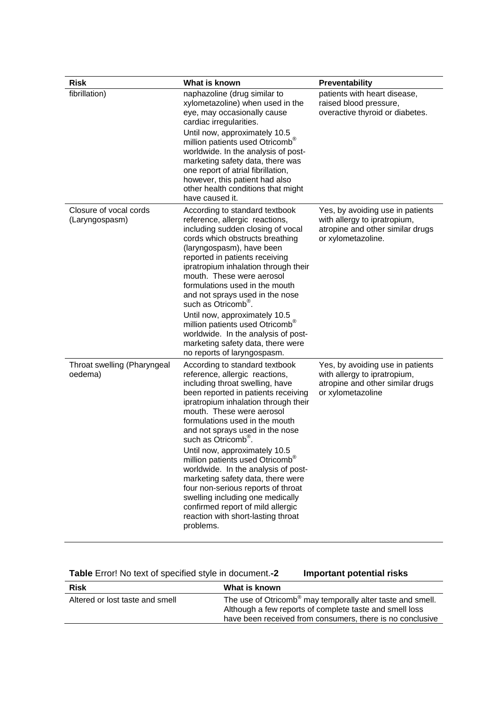| <b>Risk</b>                              | What is known                                                                                                                                                                                                                                                                                                                                                                                                                                                                                                                                                                                                                             | Preventability                                                                                                             |
|------------------------------------------|-------------------------------------------------------------------------------------------------------------------------------------------------------------------------------------------------------------------------------------------------------------------------------------------------------------------------------------------------------------------------------------------------------------------------------------------------------------------------------------------------------------------------------------------------------------------------------------------------------------------------------------------|----------------------------------------------------------------------------------------------------------------------------|
| fibrillation)                            | naphazoline (drug similar to<br>xylometazoline) when used in the<br>eye, may occasionally cause<br>cardiac irregularities.                                                                                                                                                                                                                                                                                                                                                                                                                                                                                                                | patients with heart disease,<br>raised blood pressure,<br>overactive thyroid or diabetes.                                  |
|                                          | Until now, approximately 10.5<br>million patients used Otricomb <sup>®</sup><br>worldwide. In the analysis of post-<br>marketing safety data, there was<br>one report of atrial fibrillation,<br>however, this patient had also<br>other health conditions that might<br>have caused it.                                                                                                                                                                                                                                                                                                                                                  |                                                                                                                            |
| Closure of vocal cords<br>(Laryngospasm) | According to standard textbook<br>reference, allergic reactions,<br>including sudden closing of vocal<br>cords which obstructs breathing<br>(laryngospasm), have been<br>reported in patients receiving<br>ipratropium inhalation through their<br>mouth. These were aerosol<br>formulations used in the mouth<br>and not sprays used in the nose<br>such as Otricomb <sup>®</sup> .                                                                                                                                                                                                                                                      | Yes, by avoiding use in patients<br>with allergy to ipratropium,<br>atropine and other similar drugs<br>or xylometazoline. |
|                                          | Until now, approximately 10.5<br>million patients used Otricomb®<br>worldwide. In the analysis of post-<br>marketing safety data, there were<br>no reports of laryngospasm.                                                                                                                                                                                                                                                                                                                                                                                                                                                               |                                                                                                                            |
| Throat swelling (Pharyngeal<br>oedema)   | According to standard textbook<br>reference, allergic reactions,<br>including throat swelling, have<br>been reported in patients receiving<br>ipratropium inhalation through their<br>mouth. These were aerosol<br>formulations used in the mouth<br>and not sprays used in the nose<br>such as Otricomb <sup>®</sup> .<br>Until now, approximately 10.5<br>million patients used Otricomb®<br>worldwide. In the analysis of post-<br>marketing safety data, there were<br>four non-serious reports of throat<br>swelling including one medically<br>confirmed report of mild allergic<br>reaction with short-lasting throat<br>problems. | Yes, by avoiding use in patients<br>with allergy to ipratropium,<br>atropine and other similar drugs<br>or xylometazoline  |

**Important potential risks** 

| <b>Risk</b>                     | What is known                                                                                                                                                                                  |  |
|---------------------------------|------------------------------------------------------------------------------------------------------------------------------------------------------------------------------------------------|--|
| Altered or lost taste and smell | The use of Otricomb <sup>®</sup> may temporally alter taste and smell.<br>Although a few reports of complete taste and smell loss<br>have been received from consumers, there is no conclusive |  |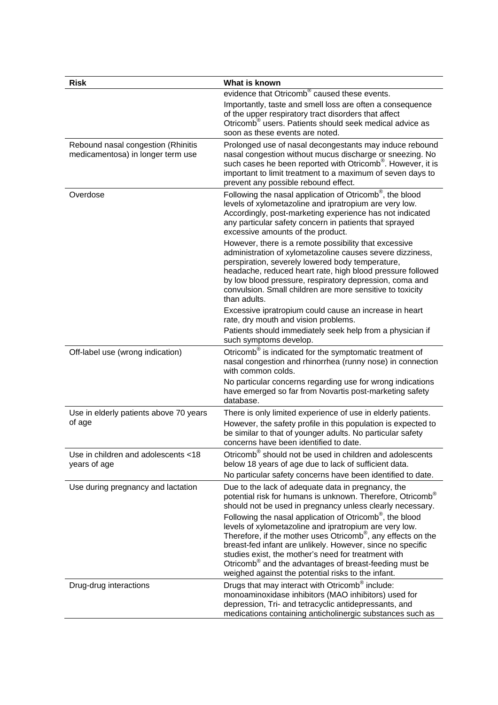| <b>Risk</b>                                                             | What is known                                                                                                                                                                                                                                                                                                                                                                                                                                                                                                                                                                                                                               |
|-------------------------------------------------------------------------|---------------------------------------------------------------------------------------------------------------------------------------------------------------------------------------------------------------------------------------------------------------------------------------------------------------------------------------------------------------------------------------------------------------------------------------------------------------------------------------------------------------------------------------------------------------------------------------------------------------------------------------------|
|                                                                         | evidence that Otricomb <sup>®</sup> caused these events.                                                                                                                                                                                                                                                                                                                                                                                                                                                                                                                                                                                    |
|                                                                         | Importantly, taste and smell loss are often a consequence<br>of the upper respiratory tract disorders that affect<br>Otricomb <sup>®</sup> users. Patients should seek medical advice as<br>soon as these events are noted.                                                                                                                                                                                                                                                                                                                                                                                                                 |
| Rebound nasal congestion (Rhinitis<br>medicamentosa) in longer term use | Prolonged use of nasal decongestants may induce rebound<br>nasal congestion without mucus discharge or sneezing. No<br>such cases he been reported with Otricomb®. However, it is<br>important to limit treatment to a maximum of seven days to<br>prevent any possible rebound effect.                                                                                                                                                                                                                                                                                                                                                     |
| Overdose                                                                | Following the nasal application of Otricomb®, the blood<br>levels of xylometazoline and ipratropium are very low.<br>Accordingly, post-marketing experience has not indicated<br>any particular safety concern in patients that sprayed<br>excessive amounts of the product.                                                                                                                                                                                                                                                                                                                                                                |
|                                                                         | However, there is a remote possibility that excessive<br>administration of xylometazoline causes severe dizziness,<br>perspiration, severely lowered body temperature,<br>headache, reduced heart rate, high blood pressure followed<br>by low blood pressure, respiratory depression, coma and<br>convulsion. Small children are more sensitive to toxicity<br>than adults.                                                                                                                                                                                                                                                                |
|                                                                         | Excessive ipratropium could cause an increase in heart<br>rate, dry mouth and vision problems.<br>Patients should immediately seek help from a physician if<br>such symptoms develop.                                                                                                                                                                                                                                                                                                                                                                                                                                                       |
| Off-label use (wrong indication)                                        | Otricomb <sup>®</sup> is indicated for the symptomatic treatment of<br>nasal congestion and rhinorrhea (runny nose) in connection<br>with common colds.                                                                                                                                                                                                                                                                                                                                                                                                                                                                                     |
|                                                                         | No particular concerns regarding use for wrong indications<br>have emerged so far from Novartis post-marketing safety<br>database.                                                                                                                                                                                                                                                                                                                                                                                                                                                                                                          |
| Use in elderly patients above 70 years                                  | There is only limited experience of use in elderly patients.                                                                                                                                                                                                                                                                                                                                                                                                                                                                                                                                                                                |
| of age                                                                  | However, the safety profile in this population is expected to<br>be similar to that of younger adults. No particular safety<br>concerns have been identified to date.                                                                                                                                                                                                                                                                                                                                                                                                                                                                       |
| Use in children and adolescents <18<br>years of age                     | Otricomb <sup>®</sup> should not be used in children and adolescents<br>below 18 years of age due to lack of sufficient data.<br>No particular safety concerns have been identified to date.                                                                                                                                                                                                                                                                                                                                                                                                                                                |
| Use during pregnancy and lactation                                      | Due to the lack of adequate data in pregnancy, the<br>potential risk for humans is unknown. Therefore, Otricomb <sup>®</sup><br>should not be used in pregnancy unless clearly necessary.<br>Following the nasal application of Otricomb®, the blood<br>levels of xylometazoline and ipratropium are very low.<br>Therefore, if the mother uses Otricomb <sup>®</sup> , any effects on the<br>breast-fed infant are unlikely. However, since no specific<br>studies exist, the mother's need for treatment with<br>Otricomb <sup>®</sup> and the advantages of breast-feeding must be<br>weighed against the potential risks to the infant. |
| Drug-drug interactions                                                  | Drugs that may interact with Otricomb <sup>®</sup> include:<br>monoaminoxidase inhibitors (MAO inhibitors) used for<br>depression, Tri- and tetracyclic antidepressants, and<br>medications containing anticholinergic substances such as                                                                                                                                                                                                                                                                                                                                                                                                   |